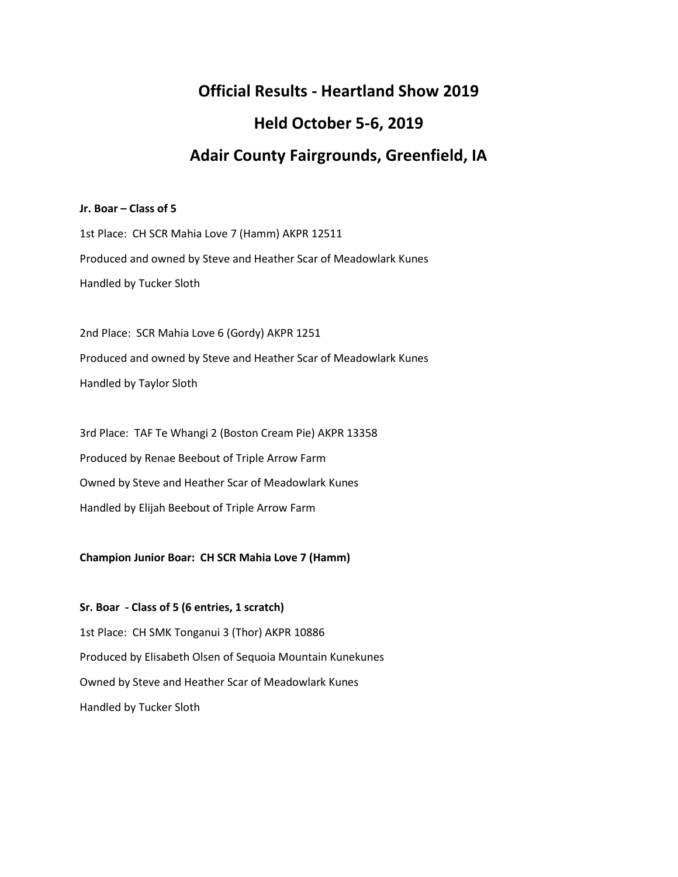# **Official Results - Heartland Show 2019 Held October 5-6, 2019 Adair County Fairgrounds, Greenfield, IA**

## **Jr. Boar – Class of 5**

1st Place: CH SCR Mahia Love 7 (Hamm) AKPR 12511 Produced and owned by Steve and Heather Scar of Meadowlark Kunes Handled by Tucker Sloth

2nd Place: SCR Mahia Love 6 (Gordy) AKPR 1251 Produced and owned by Steve and Heather Scar of Meadowlark Kunes Handled by Taylor Sloth

3rd Place: TAF Te Whangi 2 (Boston Cream Pie) AKPR 13358 Produced by Renae Beebout of Triple Arrow Farm Owned by Steve and Heather Scar of Meadowlark Kunes Handled by Elijah Beebout of Triple Arrow Farm

## **Champion Junior Boar: CH SCR Mahia Love 7 (Hamm)**

**Sr. Boar - Class of 5 (6 entries, 1 scratch)** 1st Place: CH SMK Tonganui 3 (Thor) AKPR 10886 Produced by Elisabeth Olsen of Sequoia Mountain Kunekunes Owned by Steve and Heather Scar of Meadowlark Kunes Handled by Tucker Sloth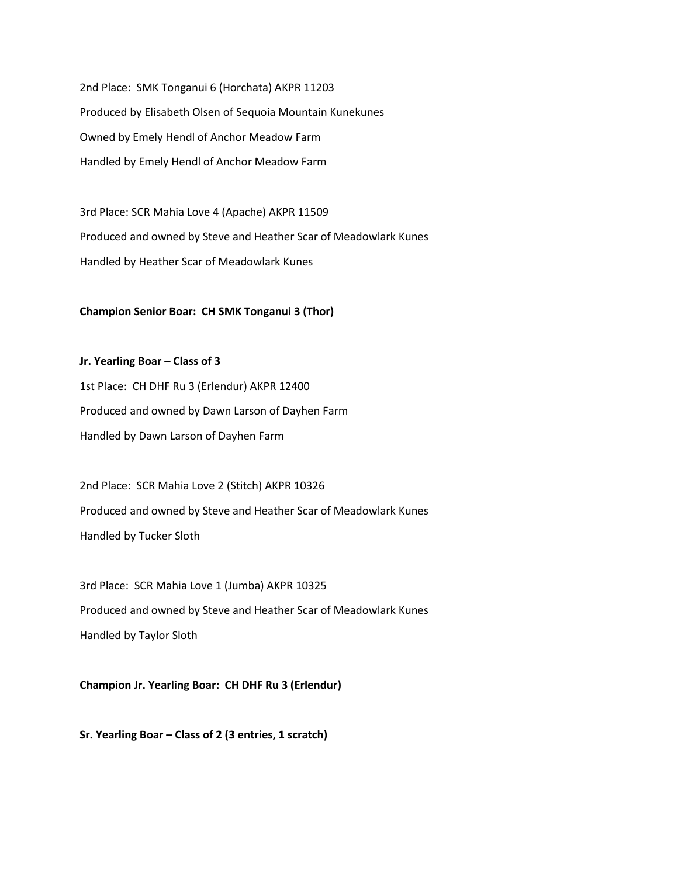2nd Place: SMK Tonganui 6 (Horchata) AKPR 11203 Produced by Elisabeth Olsen of Sequoia Mountain Kunekunes Owned by Emely Hendl of Anchor Meadow Farm Handled by Emely Hendl of Anchor Meadow Farm

3rd Place: SCR Mahia Love 4 (Apache) AKPR 11509 Produced and owned by Steve and Heather Scar of Meadowlark Kunes Handled by Heather Scar of Meadowlark Kunes

## **Champion Senior Boar: CH SMK Tonganui 3 (Thor)**

**Jr. Yearling Boar – Class of 3** 1st Place: CH DHF Ru 3 (Erlendur) AKPR 12400 Produced and owned by Dawn Larson of Dayhen Farm Handled by Dawn Larson of Dayhen Farm

2nd Place: SCR Mahia Love 2 (Stitch) AKPR 10326 Produced and owned by Steve and Heather Scar of Meadowlark Kunes Handled by Tucker Sloth

3rd Place: SCR Mahia Love 1 (Jumba) AKPR 10325 Produced and owned by Steve and Heather Scar of Meadowlark Kunes Handled by Taylor Sloth

**Champion Jr. Yearling Boar: CH DHF Ru 3 (Erlendur)**

**Sr. Yearling Boar – Class of 2 (3 entries, 1 scratch)**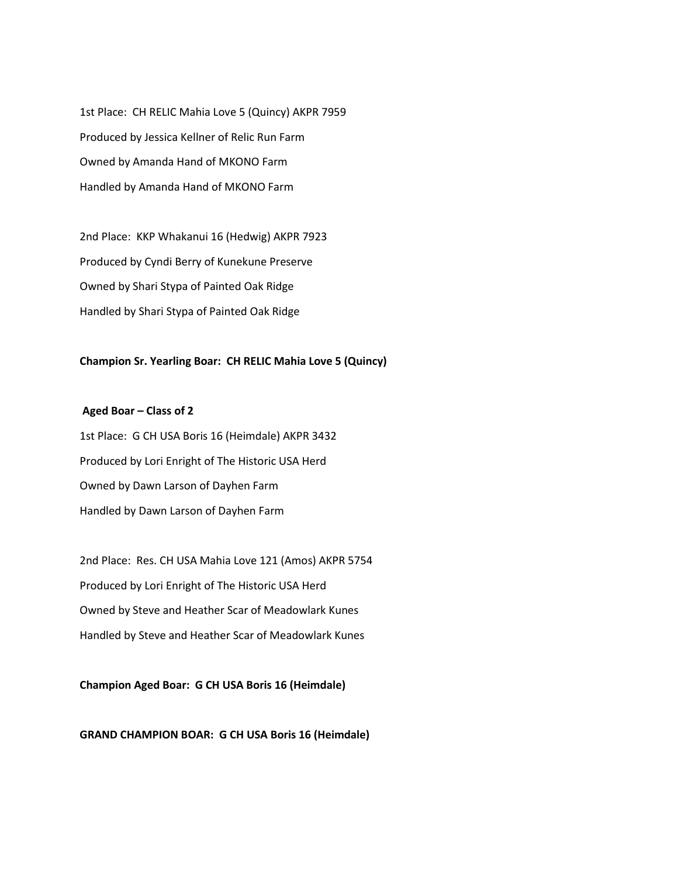1st Place: CH RELIC Mahia Love 5 (Quincy) AKPR 7959 Produced by Jessica Kellner of Relic Run Farm Owned by Amanda Hand of MKONO Farm Handled by Amanda Hand of MKONO Farm

2nd Place: KKP Whakanui 16 (Hedwig) AKPR 7923 Produced by Cyndi Berry of Kunekune Preserve Owned by Shari Stypa of Painted Oak Ridge Handled by Shari Stypa of Painted Oak Ridge

## **Champion Sr. Yearling Boar: CH RELIC Mahia Love 5 (Quincy)**

## **Aged Boar – Class of 2**

1st Place: G CH USA Boris 16 (Heimdale) AKPR 3432 Produced by Lori Enright of The Historic USA Herd Owned by Dawn Larson of Dayhen Farm Handled by Dawn Larson of Dayhen Farm

2nd Place: Res. CH USA Mahia Love 121 (Amos) AKPR 5754 Produced by Lori Enright of The Historic USA Herd Owned by Steve and Heather Scar of Meadowlark Kunes Handled by Steve and Heather Scar of Meadowlark Kunes

**Champion Aged Boar: G CH USA Boris 16 (Heimdale)**

**GRAND CHAMPION BOAR: G CH USA Boris 16 (Heimdale)**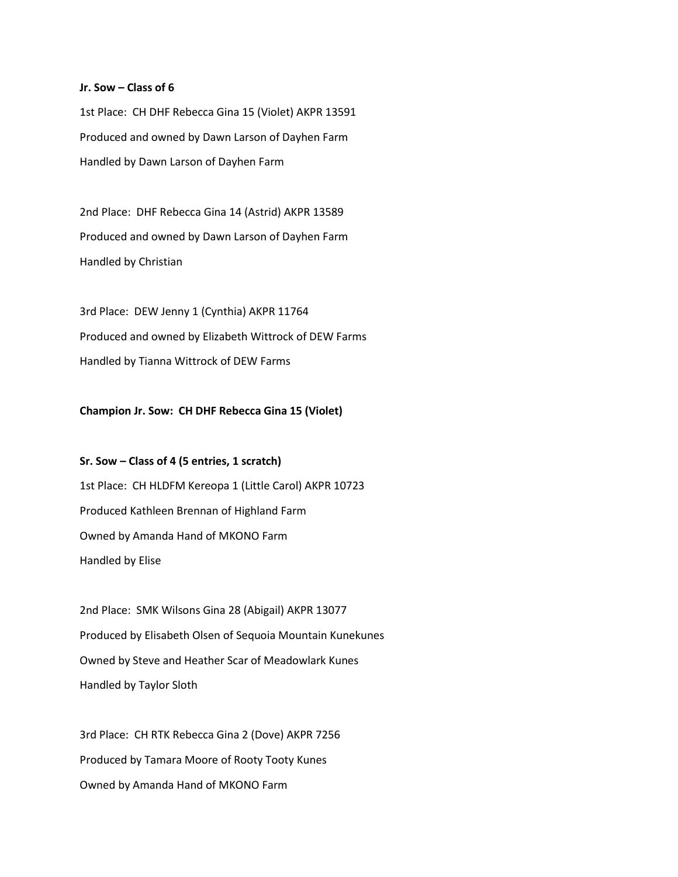## **Jr. Sow – Class of 6**

1st Place: CH DHF Rebecca Gina 15 (Violet) AKPR 13591 Produced and owned by Dawn Larson of Dayhen Farm Handled by Dawn Larson of Dayhen Farm

2nd Place: DHF Rebecca Gina 14 (Astrid) AKPR 13589 Produced and owned by Dawn Larson of Dayhen Farm Handled by Christian

3rd Place: DEW Jenny 1 (Cynthia) AKPR 11764 Produced and owned by Elizabeth Wittrock of DEW Farms Handled by Tianna Wittrock of DEW Farms

**Champion Jr. Sow: CH DHF Rebecca Gina 15 (Violet)**

**Sr. Sow – Class of 4 (5 entries, 1 scratch)** 1st Place: CH HLDFM Kereopa 1 (Little Carol) AKPR 10723 Produced Kathleen Brennan of Highland Farm Owned by Amanda Hand of MKONO Farm Handled by Elise

2nd Place: SMK Wilsons Gina 28 (Abigail) AKPR 13077 Produced by Elisabeth Olsen of Sequoia Mountain Kunekunes Owned by Steve and Heather Scar of Meadowlark Kunes Handled by Taylor Sloth

3rd Place: CH RTK Rebecca Gina 2 (Dove) AKPR 7256 Produced by Tamara Moore of Rooty Tooty Kunes Owned by Amanda Hand of MKONO Farm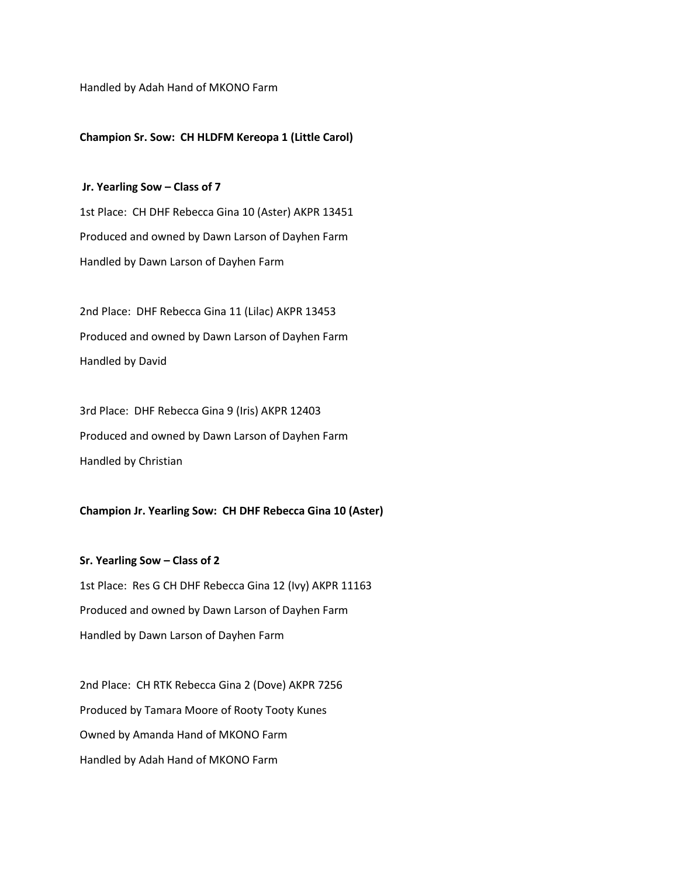Handled by Adah Hand of MKONO Farm

## **Champion Sr. Sow: CH HLDFM Kereopa 1 (Little Carol)**

#### **Jr. Yearling Sow – Class of 7**

1st Place: CH DHF Rebecca Gina 10 (Aster) AKPR 13451 Produced and owned by Dawn Larson of Dayhen Farm Handled by Dawn Larson of Dayhen Farm

2nd Place: DHF Rebecca Gina 11 (Lilac) AKPR 13453 Produced and owned by Dawn Larson of Dayhen Farm Handled by David

3rd Place: DHF Rebecca Gina 9 (Iris) AKPR 12403 Produced and owned by Dawn Larson of Dayhen Farm Handled by Christian

## **Champion Jr. Yearling Sow: CH DHF Rebecca Gina 10 (Aster)**

**Sr. Yearling Sow – Class of 2** 1st Place: Res G CH DHF Rebecca Gina 12 (Ivy) AKPR 11163 Produced and owned by Dawn Larson of Dayhen Farm Handled by Dawn Larson of Dayhen Farm

2nd Place: CH RTK Rebecca Gina 2 (Dove) AKPR 7256 Produced by Tamara Moore of Rooty Tooty Kunes Owned by Amanda Hand of MKONO Farm Handled by Adah Hand of MKONO Farm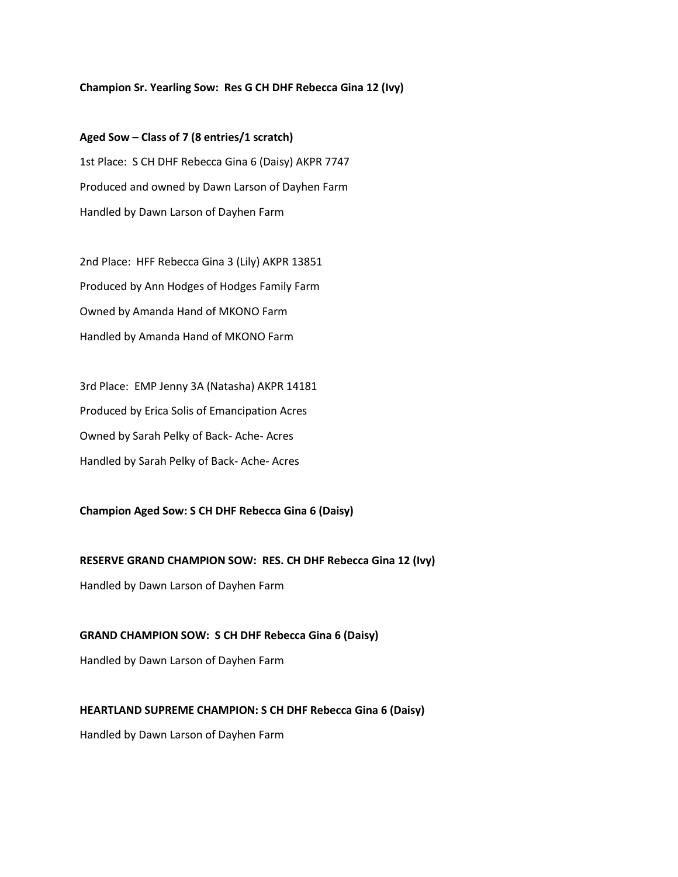## **Champion Sr. Yearling Sow: Res G CH DHF Rebecca Gina 12 (Ivy)**

**Aged Sow – Class of 7 (8 entries/1 scratch)** 1st Place: S CH DHF Rebecca Gina 6 (Daisy) AKPR 7747 Produced and owned by Dawn Larson of Dayhen Farm Handled by Dawn Larson of Dayhen Farm

2nd Place: HFF Rebecca Gina 3 (Lily) AKPR 13851 Produced by Ann Hodges of Hodges Family Farm Owned by Amanda Hand of MKONO Farm Handled by Amanda Hand of MKONO Farm

3rd Place: EMP Jenny 3A (Natasha) AKPR 14181 Produced by Erica Solis of Emancipation Acres Owned by Sarah Pelky of Back- Ache- Acres Handled by Sarah Pelky of Back- Ache- Acres

**Champion Aged Sow: S CH DHF Rebecca Gina 6 (Daisy)**

**RESERVE GRAND CHAMPION SOW: RES. CH DHF Rebecca Gina 12 (Ivy)**

Handled by Dawn Larson of Dayhen Farm

**GRAND CHAMPION SOW: S CH DHF Rebecca Gina 6 (Daisy)**

Handled by Dawn Larson of Dayhen Farm

**HEARTLAND SUPREME CHAMPION: S CH DHF Rebecca Gina 6 (Daisy)**

Handled by Dawn Larson of Dayhen Farm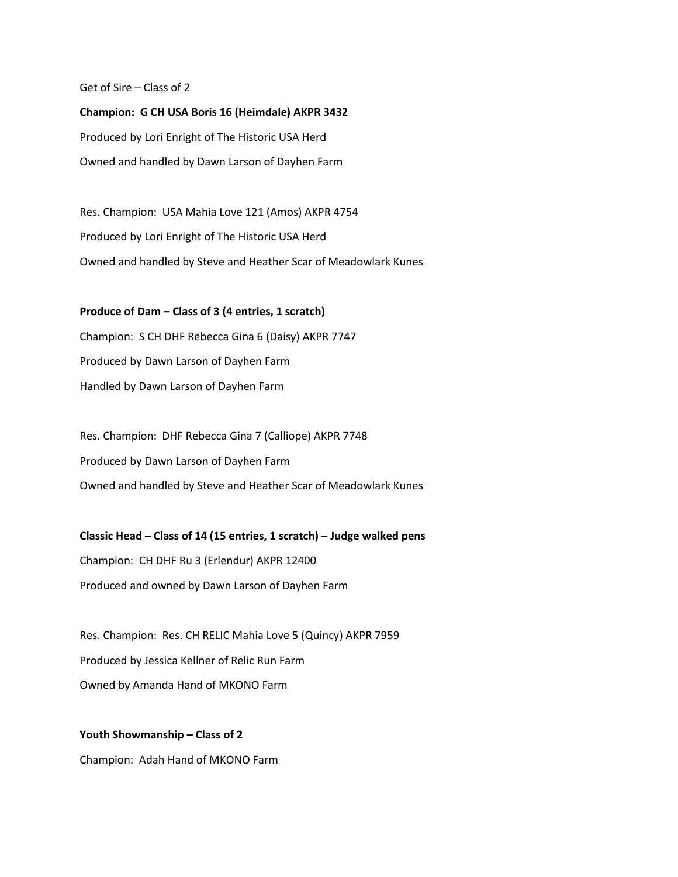Get of Sire – Class of 2

**Champion: G CH USA Boris 16 (Heimdale) AKPR 3432** Produced by Lori Enright of The Historic USA Herd Owned and handled by Dawn Larson of Dayhen Farm

Res. Champion: USA Mahia Love 121 (Amos) AKPR 4754 Produced by Lori Enright of The Historic USA Herd Owned and handled by Steve and Heather Scar of Meadowlark Kunes

## **Produce of Dam – Class of 3 (4 entries, 1 scratch)**

Champion: S CH DHF Rebecca Gina 6 (Daisy) AKPR 7747 Produced by Dawn Larson of Dayhen Farm Handled by Dawn Larson of Dayhen Farm

Res. Champion: DHF Rebecca Gina 7 (Calliope) AKPR 7748 Produced by Dawn Larson of Dayhen Farm Owned and handled by Steve and Heather Scar of Meadowlark Kunes

## **Classic Head – Class of 14 (15 entries, 1 scratch) – Judge walked pens**

Champion: CH DHF Ru 3 (Erlendur) AKPR 12400 Produced and owned by Dawn Larson of Dayhen Farm

Res. Champion: Res. CH RELIC Mahia Love 5 (Quincy) AKPR 7959 Produced by Jessica Kellner of Relic Run Farm Owned by Amanda Hand of MKONO Farm

**Youth Showmanship – Class of 2** Champion: Adah Hand of MKONO Farm